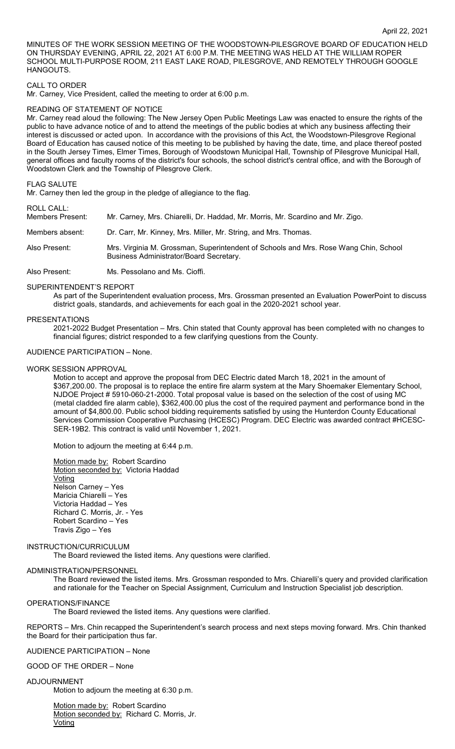MINUTES OF THE WORK SESSION MEETING OF THE WOODSTOWN-PILESGROVE BOARD OF EDUCATION HELD ON THURSDAY EVENING, APRIL 22, 2021 AT 6:00 P.M. THE MEETING WAS HELD AT THE WILLIAM ROPER SCHOOL MULTI-PURPOSE ROOM, 211 EAST LAKE ROAD, PILESGROVE, AND REMOTELY THROUGH GOOGLE **HANGOUTS** 

# CALL TO ORDER

Mr. Carney, Vice President, called the meeting to order at 6:00 p.m.

### READING OF STATEMENT OF NOTICE

Mr. Carney read aloud the following: The New Jersey Open Public Meetings Law was enacted to ensure the rights of the public to have advance notice of and to attend the meetings of the public bodies at which any business affecting their interest is discussed or acted upon. In accordance with the provisions of this Act, the Woodstown-Pilesgrove Regional Board of Education has caused notice of this meeting to be published by having the date, time, and place thereof posted in the South Jersey Times, Elmer Times, Borough of Woodstown Municipal Hall, Township of Pilesgrove Municipal Hall, general offices and faculty rooms of the district's four schools, the school district's central office, and with the Borough of Woodstown Clerk and the Township of Pilesgrove Clerk.

# FLAG SALUTE

Mr. Carney then led the group in the pledge of allegiance to the flag.

# ROLL CALL:

| . . 955 97 55.<br>Members Present: | Mr. Carney, Mrs. Chiarelli, Dr. Haddad, Mr. Morris, Mr. Scardino and Mr. Zigo.                                                  |
|------------------------------------|---------------------------------------------------------------------------------------------------------------------------------|
| Members absent:                    | Dr. Carr, Mr. Kinney, Mrs. Miller, Mr. String, and Mrs. Thomas.                                                                 |
| Also Present:                      | Mrs. Virginia M. Grossman, Superintendent of Schools and Mrs. Rose Wang Chin, School<br>Business Administrator/Board Secretary. |
| Also Present:                      | Ms. Pessolano and Ms. Cioffi.                                                                                                   |

## SUPERINTENDENT'S REPORT

As part of the Superintendent evaluation process, Mrs. Grossman presented an Evaluation PowerPoint to discuss district goals, standards, and achievements for each goal in the 2020-2021 school year.

## PRESENTATIONS

2021-2022 Budget Presentation – Mrs. Chin stated that County approval has been completed with no changes to financial figures; district responded to a few clarifying questions from the County.

# AUDIENCE PARTICIPATION – None.

#### WORK SESSION APPROVAL

Motion to accept and approve the proposal from DEC Electric dated March 18, 2021 in the amount of \$367,200.00. The proposal is to replace the entire fire alarm system at the Mary Shoemaker Elementary School, NJDOE Project # 5910-060-21-2000. Total proposal value is based on the selection of the cost of using MC (metal cladded fire alarm cable), \$362,400.00 plus the cost of the required payment and performance bond in the amount of \$4,800.00. Public school bidding requirements satisfied by using the Hunterdon County Educational Services Commission Cooperative Purchasing (HCESC) Program. DEC Electric was awarded contract #HCESC-SER-19B2. This contract is valid until November 1, 2021.

Motion to adjourn the meeting at 6:44 p.m.

Motion made by: Robert Scardino Motion seconded by: Victoria Haddad Voting Nelson Carney – Yes Maricia Chiarelli – Yes Victoria Haddad – Yes Richard C. Morris, Jr. - Yes Robert Scardino – Yes Travis Zigo – Yes

#### INSTRUCTION/CURRICULUM

The Board reviewed the listed items. Any questions were clarified.

# ADMINISTRATION/PERSONNEL

The Board reviewed the listed items. Mrs. Grossman responded to Mrs. Chiarelli's query and provided clarification and rationale for the Teacher on Special Assignment, Curriculum and Instruction Specialist job description.

## OPERATIONS/FINANCE

The Board reviewed the listed items. Any questions were clarified.

REPORTS – Mrs. Chin recapped the Superintendent's search process and next steps moving forward. Mrs. Chin thanked the Board for their participation thus far.

## AUDIENCE PARTICIPATION – None

#### GOOD OF THE ORDER – None

#### ADJOURNMENT

Motion to adjourn the meeting at 6:30 p.m.

Motion made by: Robert Scardino Motion seconded by: Richard C. Morris, Jr. **Voting**